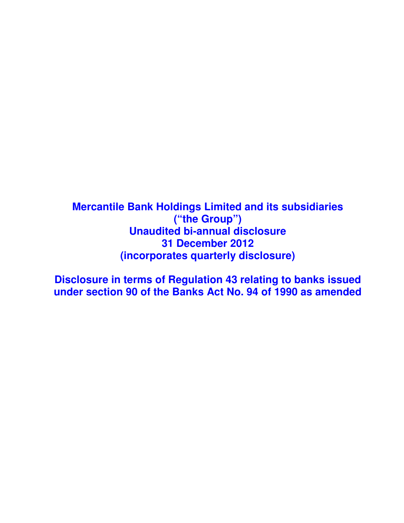**Mercantile Bank Holdings Limited and its subsidiaries ("the Group") Unaudited bi-annual disclosure 31 December 2012 (incorporates quarterly disclosure)** 

**Disclosure in terms of Regulation 43 relating to banks issued under section 90 of the Banks Act No. 94 of 1990 as amended**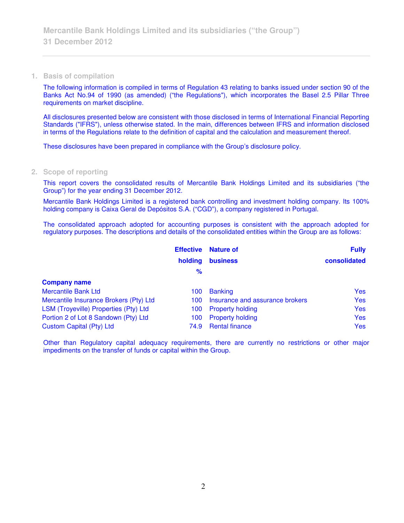#### **1. Basis of compilation**

The following information is compiled in terms of Regulation 43 relating to banks issued under section 90 of the Banks Act No.94 of 1990 (as amended) ("the Regulations"), which incorporates the Basel 2.5 Pillar Three requirements on market discipline.

All disclosures presented below are consistent with those disclosed in terms of International Financial Reporting Standards ("IFRS"), unless otherwise stated. In the main, differences between IFRS and information disclosed in terms of the Regulations relate to the definition of capital and the calculation and measurement thereof.

These disclosures have been prepared in compliance with the Group's disclosure policy.

## **2. Scope of reporting**

This report covers the consolidated results of Mercantile Bank Holdings Limited and its subsidiaries ("the Group") for the year ending 31 December 2012.

Mercantile Bank Holdings Limited is a registered bank controlling and investment holding company. Its 100% holding company is Caixa Geral de Depósitos S.A. ("CGD"), a company registered in Portugal.

The consolidated approach adopted for accounting purposes is consistent with the approach adopted for regulatory purposes. The descriptions and details of the consolidated entities within the Group are as follows:

|                                        | <b>Effective</b> | <b>Nature of</b>                | <b>Fully</b> |
|----------------------------------------|------------------|---------------------------------|--------------|
|                                        | holding          | <b>business</b>                 | consolidated |
|                                        | $\frac{9}{6}$    |                                 |              |
| <b>Company name</b>                    |                  |                                 |              |
| <b>Mercantile Bank Ltd</b>             | 100              | <b>Banking</b>                  | <b>Yes</b>   |
| Mercantile Insurance Brokers (Pty) Ltd | 100              | Insurance and assurance brokers | <b>Yes</b>   |
| LSM (Troyeville) Properties (Pty) Ltd  | 100              | <b>Property holding</b>         | <b>Yes</b>   |
| Portion 2 of Lot 8 Sandown (Pty) Ltd   | 100              | <b>Property holding</b>         | <b>Yes</b>   |
| Custom Capital (Pty) Ltd               | 74.9             | <b>Rental finance</b>           | <b>Yes</b>   |

Other than Regulatory capital adequacy requirements, there are currently no restrictions or other major impediments on the transfer of funds or capital within the Group.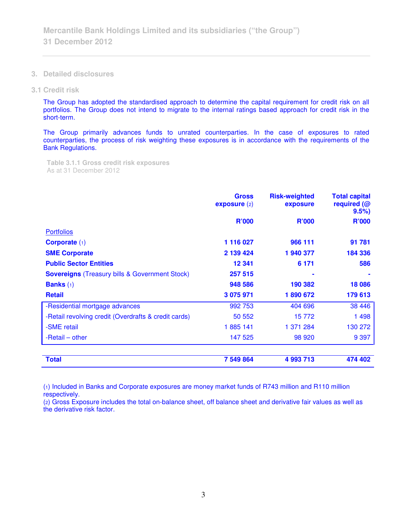- **3. Detailed disclosures**
- **3.1 Credit risk**

The Group has adopted the standardised approach to determine the capital requirement for credit risk on all portfolios. The Group does not intend to migrate to the internal ratings based approach for credit risk in the short-term.

The Group primarily advances funds to unrated counterparties. In the case of exposures to rated counterparties, the process of risk weighting these exposures is in accordance with the requirements of the Bank Regulations.

**Table 3.1.1 Gross credit risk exposures**  As at 31 December 2012

|                                                       | <b>Gross</b><br>expasure(2) | <b>Risk-weighted</b><br>exposure | <b>Total capital</b><br>required (@<br>9.5% |
|-------------------------------------------------------|-----------------------------|----------------------------------|---------------------------------------------|
|                                                       | <b>R'000</b>                | <b>R'000</b>                     | <b>R'000</b>                                |
| <b>Portfolios</b>                                     |                             |                                  |                                             |
| Corporate $(1)$                                       | 1 116 027                   | 966 111                          | 91 781                                      |
| <b>SME Corporate</b>                                  | 2 139 424                   | 1 940 377                        | 184 336                                     |
| <b>Public Sector Entities</b>                         | 12 341                      | 6 1 7 1                          | 586                                         |
| <b>Sovereigns</b> (Treasury bills & Government Stock) | 257 515                     |                                  |                                             |
| <b>Banks</b> $(1)$                                    | 948 586                     | 190 382                          | 18 086                                      |
| <b>Retail</b>                                         | 3 075 971                   | 1890672                          | 179 613                                     |
| -Residential mortgage advances                        | 992 753                     | 404 696                          | 38 4 46                                     |
| -Retail revolving credit (Overdrafts & credit cards)  | 50 552                      | 15772                            | 1498                                        |
| -SME retail                                           | 1885 141                    | 1 371 284                        | 130 272                                     |
| -Retail – other                                       | 147 525                     | 98 920                           | 9 3 9 7                                     |
|                                                       |                             |                                  |                                             |
| <b>Total</b>                                          | 7 549 864                   | 4 993 713                        | 474 402                                     |

(1) Included in Banks and Corporate exposures are money market funds of R743 million and R110 million respectively.

(2) Gross Exposure includes the total on-balance sheet, off balance sheet and derivative fair values as well as the derivative risk factor.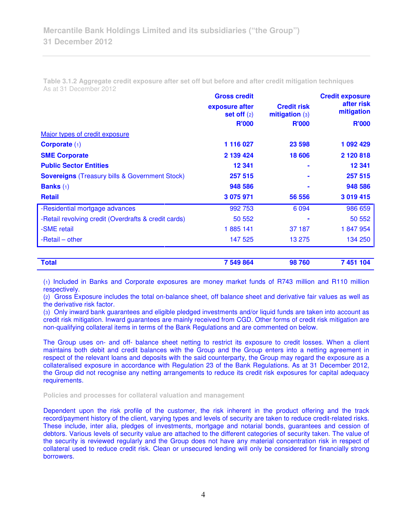**Table 3.1.2 Aggregate credit exposure after set off but before and after credit mitigation techniques**  As at 31 December 2012

|                                                       | <b>Gross credit</b>             |                                        | <b>Credit exposure</b>   |
|-------------------------------------------------------|---------------------------------|----------------------------------------|--------------------------|
|                                                       | exposure after<br>set off $(2)$ | <b>Credit risk</b><br>mitigation $(3)$ | after risk<br>mitigation |
|                                                       | <b>R'000</b>                    | <b>R'000</b>                           | <b>R'000</b>             |
| Major types of credit exposure                        |                                 |                                        |                          |
| Corporate $(1)$                                       | 1 116 027                       | 23 598                                 | 1 092 429                |
| <b>SME Corporate</b>                                  | 2 139 424                       | 18 606                                 | 2 120 818                |
| <b>Public Sector Entities</b>                         | 12 341                          |                                        | 12 341                   |
| <b>Sovereigns</b> (Treasury bills & Government Stock) | 257 515                         |                                        | 257 515                  |
| <b>Banks</b> $(1)$                                    | 948 586                         |                                        | 948 586                  |
| <b>Retail</b>                                         | 3 075 971                       | 56 556                                 | 3 019 415                |
| -Residential mortgage advances                        | 992 753                         | 6 0 9 4                                | 986 659                  |
| -Retail revolving credit (Overdrafts & credit cards)  | 50 552                          |                                        | 50 552                   |
| -SME retail                                           | 1885 141                        | 37 187                                 | 1847954                  |
| -Retail – other                                       | 147 525                         | 13 275                                 | 134 250                  |
|                                                       |                                 |                                        |                          |

| <b>Total</b> | 7 549 864 | 98760 | 7 451 104 |
|--------------|-----------|-------|-----------|
|              |           |       |           |

(1) Included in Banks and Corporate exposures are money market funds of R743 million and R110 million respectively.

(2) Gross Exposure includes the total on-balance sheet, off balance sheet and derivative fair values as well as the derivative risk factor.

(3) Only inward bank guarantees and eligible pledged investments and/or liquid funds are taken into account as credit risk mitigation. Inward guarantees are mainly received from CGD. Other forms of credit risk mitigation are non-qualifying collateral items in terms of the Bank Regulations and are commented on below.

The Group uses on- and off- balance sheet netting to restrict its exposure to credit losses. When a client maintains both debit and credit balances with the Group and the Group enters into a netting agreement in respect of the relevant loans and deposits with the said counterparty, the Group may regard the exposure as a collateralised exposure in accordance with Regulation 23 of the Bank Regulations. As at 31 December 2012, the Group did not recognise any netting arrangements to reduce its credit risk exposures for capital adequacy requirements.

**Policies and processes for collateral valuation and management** 

Dependent upon the risk profile of the customer, the risk inherent in the product offering and the track record/payment history of the client, varying types and levels of security are taken to reduce credit-related risks. These include, inter alia, pledges of investments, mortgage and notarial bonds, guarantees and cession of debtors. Various levels of security value are attached to the different categories of security taken. The value of the security is reviewed regularly and the Group does not have any material concentration risk in respect of collateral used to reduce credit risk. Clean or unsecured lending will only be considered for financially strong borrowers.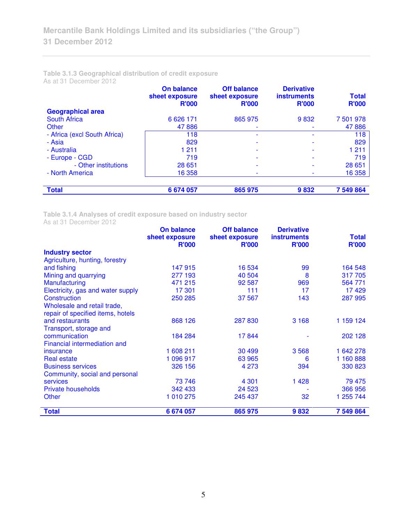# **Table 3.1.3 Geographical distribution of credit exposure**

As at 31 December 2012

|                              | On balance<br>sheet exposure<br><b>R'000</b> | <b>Off balance</b><br>sheet exposure<br><b>R'000</b> | <b>Derivative</b><br><b>instruments</b><br><b>R'000</b> | <b>Total</b><br><b>R'000</b> |
|------------------------------|----------------------------------------------|------------------------------------------------------|---------------------------------------------------------|------------------------------|
| <b>Geographical area</b>     |                                              |                                                      |                                                         |                              |
| South Africa                 | 6 6 2 6 1 7 1                                | 865 975                                              | 9832                                                    | 7 501 978                    |
| Other                        | 47886                                        |                                                      |                                                         | 47886                        |
| - Africa (excl South Africa) | 118                                          |                                                      |                                                         | 118                          |
| - Asia                       | 829                                          |                                                      |                                                         | 829                          |
| - Australia                  | 1 2 1 1                                      |                                                      |                                                         | 1 2 1 1                      |
| - Europe - CGD               | 719                                          |                                                      |                                                         | 719                          |
| - Other institutions         | 28 651                                       |                                                      |                                                         | 28 651                       |
| - North America              | 16 358                                       |                                                      |                                                         | 16 358                       |
| <b>Total</b>                 | 6 674 057                                    | 865 975                                              | 9832                                                    | 7 549 864                    |

**Table 3.1.4 Analyses of credit exposure based on industry sector** 

As at 31 December 2012

|                                   | <b>On balance</b><br>sheet exposure | <b>Off balance</b><br>sheet exposure | <b>Derivative</b><br><b>instruments</b> | <b>Total</b> |
|-----------------------------------|-------------------------------------|--------------------------------------|-----------------------------------------|--------------|
|                                   | <b>R'000</b>                        | <b>R'000</b>                         | <b>R'000</b>                            | <b>R'000</b> |
| <b>Industry sector</b>            |                                     |                                      |                                         |              |
| Agriculture, hunting, forestry    |                                     |                                      |                                         |              |
| and fishing                       | 147 915                             | 16 534                               | 99                                      | 164 548      |
| Mining and quarrying              | 277 193                             | 40 504                               | 8                                       | 317705       |
| Manufacturing                     | 471 215                             | 92 587                               | 969                                     | 564 771      |
| Electricity, gas and water supply | 17 301                              | 111                                  | 17                                      | 17429        |
| Construction                      | 250 285                             | 37 567                               | 143                                     | 287 995      |
| Wholesale and retail trade,       |                                     |                                      |                                         |              |
| repair of specified items, hotels |                                     |                                      |                                         |              |
| and restaurants                   | 868 126                             | 287 830                              | 3 1 6 8                                 | 1 159 124    |
| Transport, storage and            |                                     |                                      |                                         |              |
| communication                     | 184 284                             | 17844                                |                                         | 202 128      |
| Financial intermediation and      |                                     |                                      |                                         |              |
| insurance                         | 1 608 211                           | 30 499                               | 3568                                    | 1 642 278    |
| <b>Real estate</b>                | 1 096 917                           | 63 965                               | 6                                       | 1 160 888    |
| <b>Business services</b>          | 326 156                             | 4 2 7 3                              | 394                                     | 330 823      |
| Community, social and personal    |                                     |                                      |                                         |              |
| <b>services</b>                   | 73 746                              | 4 3 0 1                              | 1 4 2 8                                 | 79 475       |
| <b>Private households</b>         | 342 433                             | 24 5 23                              |                                         | 366 956      |
| <b>Other</b>                      | 1 010 275                           | 245 437                              | 32                                      | 1 255 744    |
| <b>Total</b>                      | 6 674 057                           | 865 975                              | 9832                                    | 7 549 864    |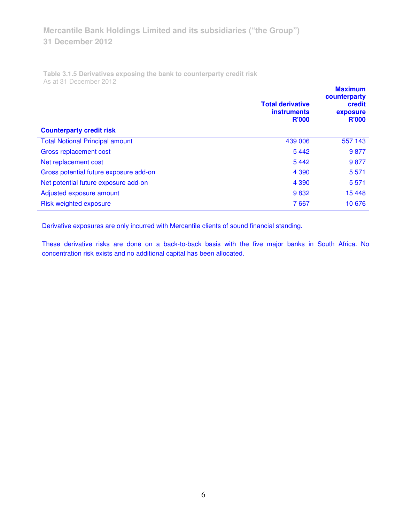**Table 3.1.5 Derivatives exposing the bank to counterparty credit risk**  As at 31 December 2012

| <b>Counterparty credit risk</b>        | <b>Total derivative</b><br><b>instruments</b><br><b>R'000</b> | <b>Maximum</b><br>counterparty<br>credit<br>exposure<br><b>R'000</b> |
|----------------------------------------|---------------------------------------------------------------|----------------------------------------------------------------------|
| <b>Total Notional Principal amount</b> | 439 006                                                       | 557 143                                                              |
| Gross replacement cost                 | 5442                                                          | 9877                                                                 |
| Net replacement cost                   | 5442                                                          | 9877                                                                 |
| Gross potential future exposure add-on | 4 3 9 0                                                       | 5571                                                                 |
| Net potential future exposure add-on   | 4 3 9 0                                                       | 5 5 7 1                                                              |
| Adjusted exposure amount               | 9832                                                          | 15 4 48                                                              |
| Risk weighted exposure                 | 7667                                                          | 10 676                                                               |

Derivative exposures are only incurred with Mercantile clients of sound financial standing.

These derivative risks are done on a back-to-back basis with the five major banks in South Africa. No concentration risk exists and no additional capital has been allocated.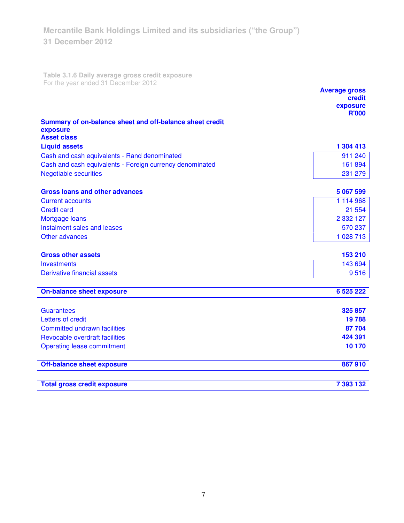**Table 3.1.6 Daily average gross credit exposure**  For the year ended 31 December 2012

|                                                                                            | <b>Average gross</b><br>credit |
|--------------------------------------------------------------------------------------------|--------------------------------|
|                                                                                            | exposure<br><b>R'000</b>       |
| Summary of on-balance sheet and off-balance sheet credit<br>exposure<br><b>Asset class</b> |                                |
| <b>Liquid assets</b>                                                                       | 1 304 413                      |
| Cash and cash equivalents - Rand denominated                                               | 911 240                        |
| Cash and cash equivalents - Foreign currency denominated                                   | 161 894                        |
| <b>Negotiable securities</b>                                                               | 231 279                        |
| <b>Gross loans and other advances</b>                                                      | 5 067 599                      |
| <b>Current accounts</b>                                                                    | 1 114 968                      |
| <b>Credit card</b>                                                                         | 21 554                         |
| Mortgage loans                                                                             | 2 3 3 1 2 7                    |
| Instalment sales and leases                                                                | 570 237                        |
| Other advances                                                                             | 1 028 713                      |
| <b>Gross other assets</b>                                                                  | 153 210                        |
| <b>Investments</b>                                                                         | 143 694                        |
| Derivative financial assets                                                                | 9516                           |
| <b>On-balance sheet exposure</b>                                                           | 6 525 222                      |
| <b>Guarantees</b>                                                                          | 325 857                        |
| Letters of credit                                                                          | 19788                          |
| <b>Committed undrawn facilities</b>                                                        | 87 704                         |
| Revocable overdraft facilities                                                             | 424 391                        |
| <b>Operating lease commitment</b>                                                          | 10 170                         |
| <b>Off-balance sheet exposure</b>                                                          | 867910                         |
| <b>Total gross credit exposure</b>                                                         | 7 393 132                      |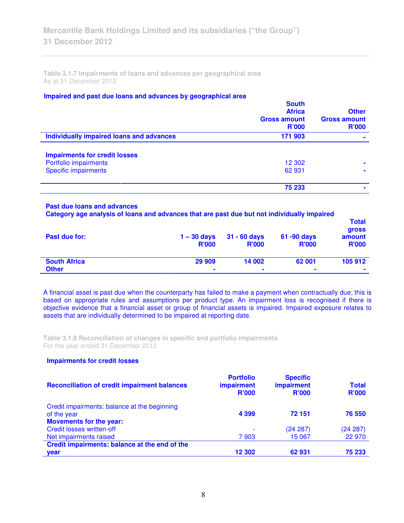**Table 3.1.7 Impairments of loans and advances per geographical area**  As at 31 December 2012

## **Impaired and past due loans and advances by geographical area**

|                                          | <b>South</b><br><b>Africa</b><br><b>Gross amount</b><br>R'000 | <b>Other</b><br><b>Gross amount</b><br>R'000 |
|------------------------------------------|---------------------------------------------------------------|----------------------------------------------|
| Individually impaired loans and advances | 171 903                                                       |                                              |
| <b>Impairments for credit losses</b>     |                                                               |                                              |
| Portfolio impairments                    | 12 302                                                        | $\blacksquare$                               |
| <b>Specific impairments</b>              | 62 931                                                        | ۰                                            |
|                                          | 75 233                                                        |                                              |
|                                          |                                                               |                                              |

#### **Past due loans and advances**

**Category age analysis of loans and advances that are past due but not individually impaired** 

| Past due for:       | $1 - 30$ days<br><b>R'000</b> | $31 - 60$ days<br><b>R'000</b> | 61 -90 days<br><b>R'000</b> | l otal<br><b>gross</b><br>amount<br><b>R'000</b> |
|---------------------|-------------------------------|--------------------------------|-----------------------------|--------------------------------------------------|
| <b>South Africa</b> | 29 909                        | 14 002                         | 62 001                      | 105 912                                          |
| <b>Other</b>        | ۰                             | $\blacksquare$                 | $\blacksquare$              | ۰                                                |

**Total** 

A financial asset is past due when the counterparty has failed to make a payment when contractually due; this is based on appropriate rules and assumptions per product type. An impairment loss is recognised if there is objective evidence that a financial asset or group of financial assets is impaired. Impaired exposure relates to assets that are individually determined to be impaired at reporting date.

**Table 3.1.8 Reconciliation of changes in specific and portfolio impairments**  For the year ended 31 December 2012

## **Impairments for credit losses**

| <b>Reconciliation of credit impairment balances</b> | <b>Portfolio</b><br><b>impairment</b><br><b>R'000</b> | <b>Specific</b><br>impairment<br>R'000 | <b>Total</b><br><b>R'000</b> |
|-----------------------------------------------------|-------------------------------------------------------|----------------------------------------|------------------------------|
| Credit impairments: balance at the beginning        |                                                       |                                        |                              |
| of the year                                         | 4 3 9 9                                               | 72 151                                 | 76 550                       |
| <b>Movements for the year:</b>                      |                                                       |                                        |                              |
| <b>Credit losses written-off</b>                    | $\overline{\phantom{0}}$                              | (24 287)                               | (24 287)                     |
| Net impairments raised                              | 7903                                                  | 15 067                                 | 22 970                       |
| Credit impairments: balance at the end of the       |                                                       |                                        |                              |
| <b>vear</b>                                         | 12 302                                                | 62931                                  | 75 233                       |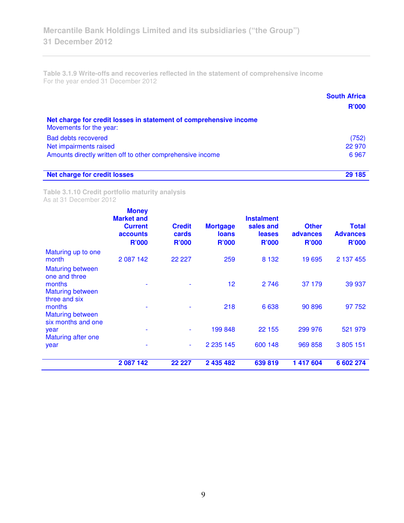**Table 3.1.9 Write-offs and recoveries reflected in the statement of comprehensive income**  For the year ended 31 December 2012

|                                                                                              | <b>South Africa</b> |
|----------------------------------------------------------------------------------------------|---------------------|
|                                                                                              | <b>R'000</b>        |
| Net charge for credit losses in statement of comprehensive income<br>Movements for the year: |                     |
| <b>Bad debts recovered</b>                                                                   | (752)               |
| Net impairments raised                                                                       | 22 970              |
| Amounts directly written off to other comprehensive income                                   | 6967                |
| <b>Net charge for credit losses</b>                                                          | 29 185              |

**Table 3.1.10 Credit portfolio maturity analysis**  As at 31 December 2012

|                                                                               | <b>Money</b><br><b>Market and</b><br><b>Current</b><br>accounts<br><b>R'000</b> | <b>Credit</b><br>cards<br><b>R'000</b> | <b>Mortgage</b><br><b>loans</b><br><b>R'000</b> | <b>Instalment</b><br>sales and<br><b>leases</b><br><b>R'000</b> | <b>Other</b><br>advances<br><b>R'000</b> | <b>Total</b><br><b>Advances</b><br><b>R'000</b> |
|-------------------------------------------------------------------------------|---------------------------------------------------------------------------------|----------------------------------------|-------------------------------------------------|-----------------------------------------------------------------|------------------------------------------|-------------------------------------------------|
| Maturing up to one<br>month                                                   | 2 087 142                                                                       | 22 2 2 7                               | 259                                             | 8 1 3 2                                                         | 19 695                                   | 2 137 455                                       |
| <b>Maturing between</b><br>one and three<br>months<br><b>Maturing between</b> |                                                                                 |                                        | 12                                              | 2746                                                            | 37 179                                   | 39 937                                          |
| three and six<br>months<br><b>Maturing between</b><br>six months and one      |                                                                                 |                                        | 218                                             | 6638                                                            | 90 896                                   | 97 752                                          |
| year<br><b>Maturing after one</b>                                             |                                                                                 |                                        | 199 848                                         | 22 155                                                          | 299 976                                  | 521 979                                         |
| year                                                                          |                                                                                 | $\overline{\phantom{a}}$               | 2 2 3 1 4 5                                     | 600 148                                                         | 969 858                                  | 3 805 151                                       |
|                                                                               | 2 087 142                                                                       | 22 227                                 | 2 435 482                                       | 639819                                                          | 1 417 604                                | 6 602 274                                       |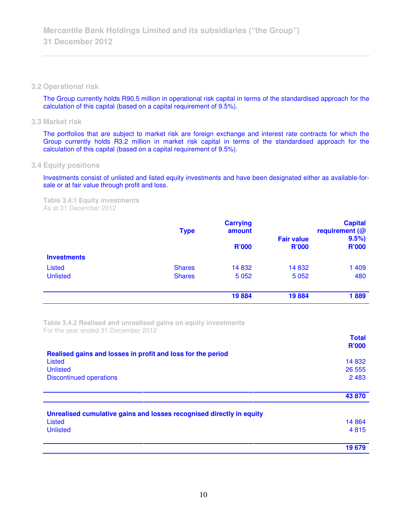### **3.2 Operational risk**

The Group currently holds R90.5 million in operational risk capital in terms of the standardised approach for the calculation of this capital (based on a capital requirement of 9.5%).

## **3.3 Market risk**

The portfolios that are subject to market risk are foreign exchange and interest rate contracts for which the Group currently holds R3.2 million in market risk capital in terms of the standardised approach for the calculation of this capital (based on a capital requirement of 9.5%).

## **3.4 Equity positions**

Investments consist of unlisted and listed equity investments and have been designated either as available-forsale or at fair value through profit and loss.

**Table 3.4.1 Equity investments**  As at 31 December 2012

|                    | <b>Type</b>   | <b>Carrying</b><br>amount |                                   | <b>Capital</b><br>requirement (@ |  |  |
|--------------------|---------------|---------------------------|-----------------------------------|----------------------------------|--|--|
|                    |               | <b>R'000</b>              | <b>Fair value</b><br><b>R'000</b> | 9.5%<br><b>R'000</b>             |  |  |
| <b>Investments</b> |               |                           |                                   |                                  |  |  |
| <b>Listed</b>      | <b>Shares</b> | 14 8 32                   | 14 8 32                           | 1 4 0 9                          |  |  |
| <b>Unlisted</b>    | <b>Shares</b> | 5 0 5 2                   | 5 0 5 2                           | 480                              |  |  |
|                    |               | 19884                     | 19884                             | 1889                             |  |  |

**Table 3.4.2 Realised and unrealised gains on equity investments**  For the year ended 31 December 2012

|                                                                      | <b>Total</b> |
|----------------------------------------------------------------------|--------------|
|                                                                      | <b>R'000</b> |
| Realised gains and losses in profit and loss for the period          |              |
| <b>Listed</b>                                                        | 14 8 32      |
| <b>Unlisted</b>                                                      | 26 555       |
| <b>Discontinued operations</b>                                       | 2 4 8 3      |
|                                                                      |              |
|                                                                      | 43 870       |
|                                                                      |              |
| Unrealised cumulative gains and losses recognised directly in equity |              |
| Listed                                                               | 14 8 64      |
| <b>Unlisted</b>                                                      | 4815         |
|                                                                      | 19679        |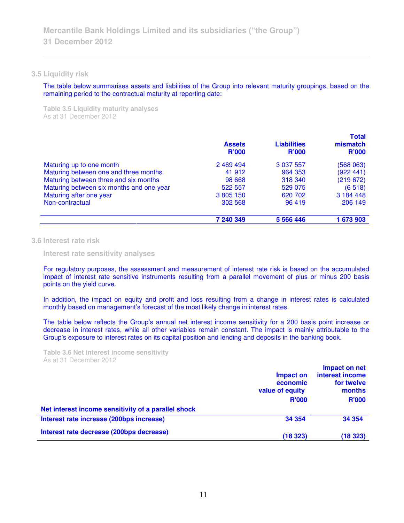### **3.5 Liquidity risk**

The table below summarises assets and liabilities of the Group into relevant maturity groupings, based on the remaining period to the contractual maturity at reporting date:

**Table 3.5 Liquidity maturity analyses**  As at 31 December 2012

|                                          | <b>Assets</b><br><b>R'000</b> | <b>Liabilities</b><br><b>R'000</b> | <b>Total</b><br>mismatch<br><b>R'000</b> |
|------------------------------------------|-------------------------------|------------------------------------|------------------------------------------|
| Maturing up to one month                 | 2469494                       | 3 0 3 7 5 5 7                      | (568063)                                 |
| Maturing between one and three months    | 41 912                        | 964 353                            | (922 441)                                |
| Maturing between three and six months    | 98 668                        | 318 340                            | (219672)                                 |
| Maturing between six months and one year | 522 557                       | 529 075                            | (6518)                                   |
| Maturing after one year                  | 3 805 150                     | 620 702                            | 3 184 448                                |
| Non-contractual                          | 302 568                       | 96 419                             | 206 149                                  |
|                                          | 7 240 349                     | 5 5 6 4 4 4 6                      | 1 673 903                                |

## **3.6 Interest rate risk**

 **Interest rate sensitivity analyses** 

For regulatory purposes, the assessment and measurement of interest rate risk is based on the accumulated impact of interest rate sensitive instruments resulting from a parallel movement of plus or minus 200 basis points on the yield curve.

In addition, the impact on equity and profit and loss resulting from a change in interest rates is calculated monthly based on management's forecast of the most likely change in interest rates.

The table below reflects the Group's annual net interest income sensitivity for a 200 basis point increase or decrease in interest rates, while all other variables remain constant. The impact is mainly attributable to the Group's exposure to interest rates on its capital position and lending and deposits in the banking book.

**Table 3.6 Net interest income sensitivity**  As at 31 December 2012

|                                                     | Impact on<br>economic<br>value of equity | Impact on net<br>interest income<br>for twelve<br>months |
|-----------------------------------------------------|------------------------------------------|----------------------------------------------------------|
|                                                     | <b>R'000</b>                             | <b>R'000</b>                                             |
| Net interest income sensitivity of a parallel shock |                                          |                                                          |
| Interest rate increase (200bps increase)            | 34 354                                   | 34 354                                                   |
| Interest rate decrease (200bps decrease)            | (18323)                                  | (18323)                                                  |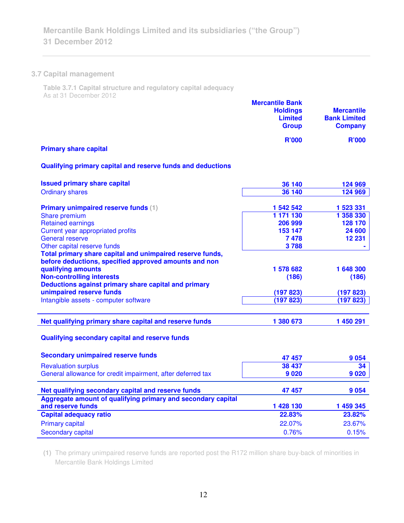## **3.7 Capital management**

**Table 3.7.1 Capital structure and regulatory capital adequacy**  As at 31 December 2012

|                              | <b>Mercantile Bank</b><br><b>Holdings</b><br><b>Limited</b><br><b>Group</b> | <b>Mercantile</b><br><b>Bank Limited</b><br><b>Company</b> |
|------------------------------|-----------------------------------------------------------------------------|------------------------------------------------------------|
| <b>Primary share capital</b> | <b>R'000</b>                                                                | <b>R'000</b>                                               |

## **Qualifying primary capital and reserve funds and deductions**

| <b>Issued primary share capital</b>                          | 36 140    | 124 969   |
|--------------------------------------------------------------|-----------|-----------|
| <b>Ordinary shares</b>                                       | 36 140    | 124 969   |
|                                                              |           |           |
| <b>Primary unimpaired reserve funds (1)</b>                  | 1 542 542 | 1 523 331 |
| Share premium                                                | 1 171 130 | 1 358 330 |
| <b>Retained earnings</b>                                     | 206 999   | 128 170   |
| Current year appropriated profits                            | 153 147   | 24 600    |
| <b>General reserve</b>                                       | 7478      | 12 231    |
| Other capital reserve funds                                  | 3788      |           |
| Total primary share capital and unimpaired reserve funds,    |           |           |
| before deductions, specified approved amounts and non        |           |           |
| qualifying amounts                                           | 1 578 682 | 1 648 300 |
| <b>Non-controlling interests</b>                             | (186)     | (186)     |
| Deductions against primary share capital and primary         |           |           |
| unimpaired reserve funds                                     | (197823)  | (197823)  |
| Intangible assets - computer software                        | (197823)  | (197823)  |
|                                                              |           |           |
| Net qualifying primary share capital and reserve funds       | 1 380 673 | 1 450 291 |
| Qualifying secondary capital and reserve funds               |           |           |
| <b>Secondary unimpaired reserve funds</b>                    | 47 457    | 9054      |
| <b>Revaluation surplus</b>                                   | 38 437    | 34        |
| General allowance for credit impairment, after deferred tax  | 9020      | 9020      |
|                                                              |           |           |
| Net qualifying secondary capital and reserve funds           | 47 457    | 9054      |
| Aggregate amount of qualifying primary and secondary capital |           |           |
| and reserve funds                                            | 1 428 130 | 1 459 345 |
| <b>Capital adequacy ratio</b>                                | 22.83%    | 23.82%    |
| <b>Primary capital</b>                                       | 22.07%    | 23.67%    |
| <b>Secondary capital</b>                                     | 0.76%     | 0.15%     |
|                                                              |           |           |

**(1)** The primary unimpaired reserve funds are reported post the R172 million share buy-back of minorities in Mercantile Bank Holdings Limited